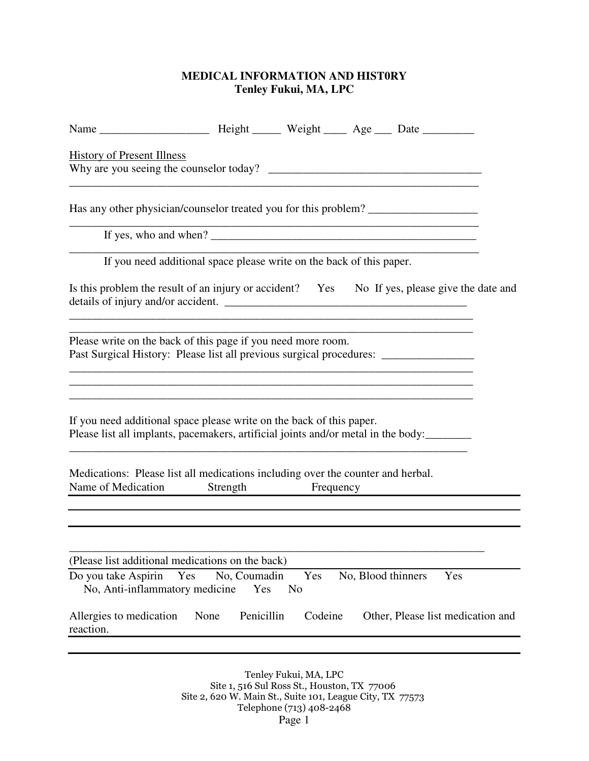## **MEDICAL INFORMATION AND HIST0RY Tenley Fukui, MA, LPC**

| <b>History of Present Illness</b>                                                                                                                                                                                                                                                         |                     |                       |                    |  |                                   |
|-------------------------------------------------------------------------------------------------------------------------------------------------------------------------------------------------------------------------------------------------------------------------------------------|---------------------|-----------------------|--------------------|--|-----------------------------------|
| Has any other physician/counselor treated you for this problem?                                                                                                                                                                                                                           |                     |                       |                    |  |                                   |
| If yes, who and when? $\frac{1}{2}$ and $\frac{1}{2}$ and $\frac{1}{2}$ and $\frac{1}{2}$ and $\frac{1}{2}$ and $\frac{1}{2}$ and $\frac{1}{2}$ and $\frac{1}{2}$ and $\frac{1}{2}$ and $\frac{1}{2}$ and $\frac{1}{2}$ and $\frac{1}{2}$ and $\frac{1}{2}$ and $\frac{1}{2}$ and $\frac$ |                     |                       |                    |  |                                   |
| If you need additional space please write on the back of this paper.                                                                                                                                                                                                                      |                     |                       |                    |  |                                   |
| Is this problem the result of an injury or accident? Yes No If yes, please give the date and                                                                                                                                                                                              |                     |                       |                    |  |                                   |
| Please write on the back of this page if you need more room.<br>Past Surgical History: Please list all previous surgical procedures: ____________                                                                                                                                         |                     |                       |                    |  |                                   |
| If you need additional space please write on the back of this paper.<br>Please list all implants, pacemakers, artificial joints and/or metal in the body:                                                                                                                                 |                     |                       |                    |  |                                   |
| Medications: Please list all medications including over the counter and herbal.<br>Name of Medication Strength Frequency                                                                                                                                                                  |                     |                       |                    |  |                                   |
|                                                                                                                                                                                                                                                                                           |                     |                       |                    |  |                                   |
| (Please list additional medications on the back)                                                                                                                                                                                                                                          |                     |                       |                    |  |                                   |
| Do you take Aspirin<br>Yes<br>No, Anti-inflammatory medicine                                                                                                                                                                                                                              | No, Coumadin<br>Yes | Yes<br>N <sub>o</sub> | No, Blood thinners |  | Yes                               |
| Allergies to medication<br>None<br>reaction.                                                                                                                                                                                                                                              | Penicillin          | Codeine               |                    |  | Other, Please list medication and |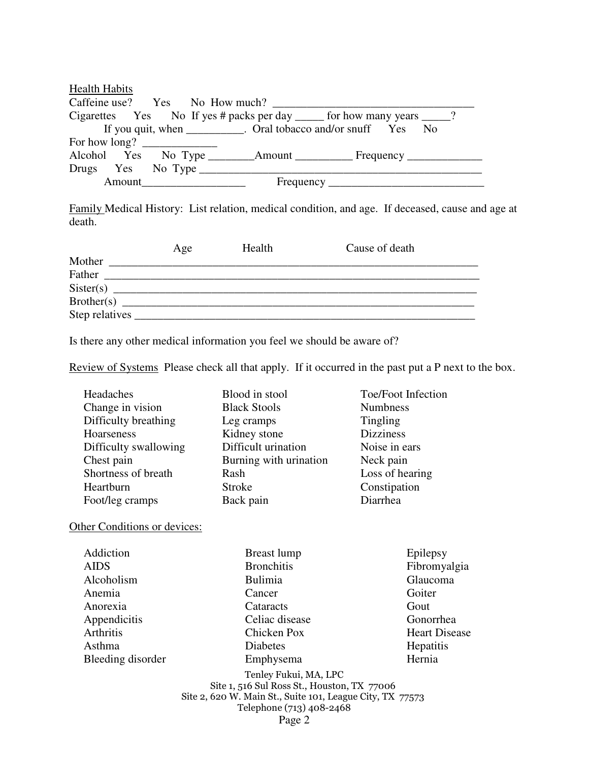| <b>Health Habits</b>                            |  |                                                                           |  |  |  |  |
|-------------------------------------------------|--|---------------------------------------------------------------------------|--|--|--|--|
|                                                 |  |                                                                           |  |  |  |  |
|                                                 |  | Cigarettes Yes No If yes # packs per day ______ for how many years _____? |  |  |  |  |
|                                                 |  | If you quit, when __________. Oral tobacco and/or snuff Yes No            |  |  |  |  |
| For how long? $\frac{1}{\sqrt{1-\frac{1}{2}}}\$ |  |                                                                           |  |  |  |  |
|                                                 |  |                                                                           |  |  |  |  |
|                                                 |  | Drugs Yes No Type                                                         |  |  |  |  |
|                                                 |  | Amount                                                                    |  |  |  |  |

Family Medical History: List relation, medical condition, and age. If deceased, cause and age at death.

|            | Age | <b>Health</b> | Cause of death |  |
|------------|-----|---------------|----------------|--|
| Mother     |     |               |                |  |
| Father     |     |               |                |  |
|            |     |               |                |  |
| Brother(s) |     |               |                |  |
|            |     |               |                |  |

Is there any other medical information you feel we should be aware of?

Review of Systems Please check all that apply. If it occurred in the past put a P next to the box.

| Headaches             | Blood in stool         | Toe/Foot Infection |
|-----------------------|------------------------|--------------------|
| Change in vision      | <b>Black Stools</b>    | <b>Numbness</b>    |
| Difficulty breathing  | Leg cramps             | <b>Tingling</b>    |
| Hoarseness            | Kidney stone           | <b>Dizziness</b>   |
| Difficulty swallowing | Difficult urination    | Noise in ears      |
| Chest pain            | Burning with urination | Neck pain          |
| Shortness of breath   | Rash                   | Loss of hearing    |
| Heartburn             | <b>Stroke</b>          | Constipation       |
| Foot/leg cramps       | Back pain              | Diarrhea           |

Other Conditions or devices:

| Addiction         |
|-------------------|
| AIDS              |
| Alcoholism        |
| Anemia            |
| Anorexia          |
| Appendicitis      |
| Arthritis         |
| Asthma            |
| Bleeding disorder |
|                   |

 Breast lump Bronchitis Bulimia Cancer **Cataracts**  Celiac disease Chicken Pox Diabetes Emphysema

 Epilepsy Fibromyalgia Glaucoma Goiter Gout Gonorrhea Heart Disease **Hepatitis** Hernia

Tenley Fukui, MA, LPC Site 1, 516 Sul Ross St., Houston, TX 77006 Site 2, 620 W. Main St., Suite 101, League City, TX 77573 Telephone (713) 408-2468 Page 2